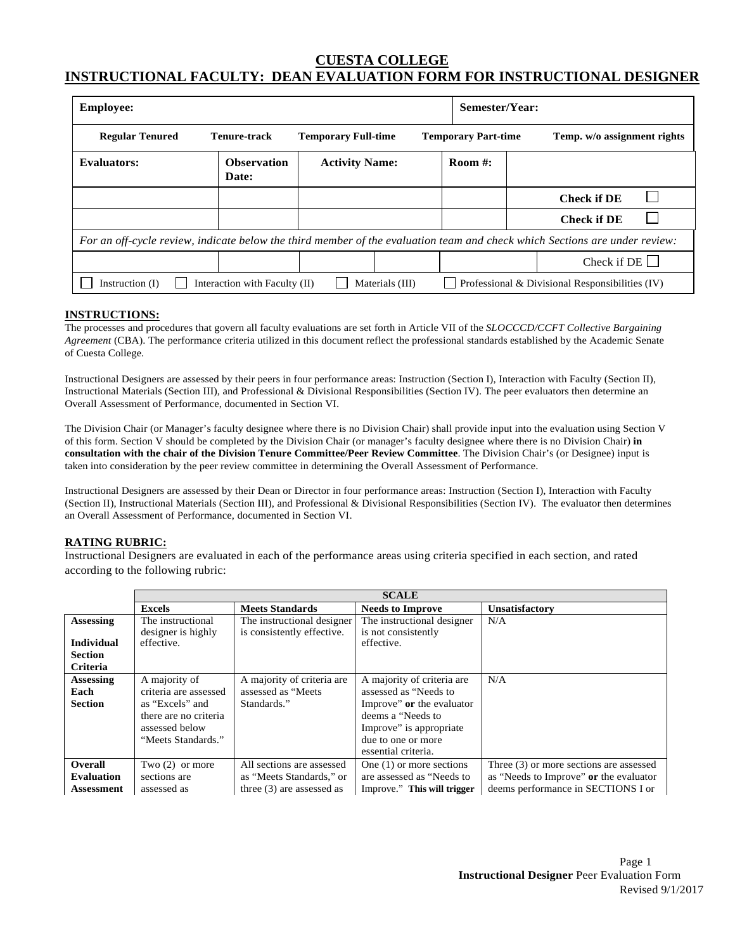# **CUESTA COLLEGE INSTRUCTIONAL FACULTY: DEAN EVALUATION FORM FOR INSTRUCTIONAL DESIGNER**

| <b>Employee:</b>                                                                                                           |                               |                            |                 |                            | Semester/Year: |                                                 |  |
|----------------------------------------------------------------------------------------------------------------------------|-------------------------------|----------------------------|-----------------|----------------------------|----------------|-------------------------------------------------|--|
| <b>Regular Tenured</b>                                                                                                     | <b>Tenure-track</b>           | <b>Temporary Full-time</b> |                 | <b>Temporary Part-time</b> |                | Temp. w/o assignment rights                     |  |
| <b>Evaluators:</b>                                                                                                         | <b>Observation</b><br>Date:   | <b>Activity Name:</b>      |                 | Room $#$ :                 |                |                                                 |  |
|                                                                                                                            |                               |                            |                 |                            |                | <b>Check if DE</b>                              |  |
|                                                                                                                            |                               |                            |                 |                            |                | <b>Check if DE</b>                              |  |
| For an off-cycle review, indicate below the third member of the evaluation team and check which Sections are under review: |                               |                            |                 |                            |                |                                                 |  |
|                                                                                                                            |                               |                            |                 |                            |                | Check if $DE$ $\Box$                            |  |
| Instruction (I)                                                                                                            | Interaction with Faculty (II) |                            | Materials (III) |                            |                | Professional & Divisional Responsibilities (IV) |  |

#### **INSTRUCTIONS:**

The processes and procedures that govern all faculty evaluations are set forth in Article VII of the *SLOCCCD/CCFT Collective Bargaining Agreement* (CBA). The performance criteria utilized in this document reflect the professional standards established by the Academic Senate of Cuesta College.

Instructional Designers are assessed by their peers in four performance areas: Instruction (Section I), Interaction with Faculty (Section II), Instructional Materials (Section III), and Professional & Divisional Responsibilities (Section IV). The peer evaluators then determine an Overall Assessment of Performance, documented in Section VI.

The Division Chair (or Manager's faculty designee where there is no Division Chair) shall provide input into the evaluation using Section V of this form. Section V should be completed by the Division Chair (or manager's faculty designee where there is no Division Chair) **in consultation with the chair of the Division Tenure Committee/Peer Review Committee**. The Division Chair's (or Designee) input is taken into consideration by the peer review committee in determining the Overall Assessment of Performance.

Instructional Designers are assessed by their Dean or Director in four performance areas: Instruction (Section I), Interaction with Faculty (Section II), Instructional Materials (Section III), and Professional & Divisional Responsibilities (Section IV). The evaluator then determines an Overall Assessment of Performance, documented in Section VI.

#### **RATING RUBRIC:**

Instructional Designers are evaluated in each of the performance areas using criteria specified in each section, and rated according to the following rubric:

|                   |                                         |                                                          | <b>SCALE</b>                                      |                                         |
|-------------------|-----------------------------------------|----------------------------------------------------------|---------------------------------------------------|-----------------------------------------|
|                   | <b>Excels</b>                           | <b>Meets Standards</b>                                   | <b>Needs to Improve</b>                           | Unsatisfactory                          |
| Assessing         | The instructional<br>designer is highly | The instructional designer<br>is consistently effective. | The instructional designer<br>is not consistently | N/A                                     |
| <b>Individual</b> | effective.                              |                                                          | effective.                                        |                                         |
| <b>Section</b>    |                                         |                                                          |                                                   |                                         |
| <b>Criteria</b>   |                                         |                                                          |                                                   |                                         |
| Assessing         | A majority of                           | A majority of criteria are                               | A majority of criteria are                        | N/A                                     |
| Each              | criteria are assessed                   | assessed as "Meets"                                      | assessed as "Needs to"                            |                                         |
| <b>Section</b>    | as "Excels" and                         | Standards."                                              | Improve" or the evaluator                         |                                         |
|                   | there are no criteria                   |                                                          | deems a "Needs to"                                |                                         |
|                   | assessed below                          |                                                          | Improve" is appropriate                           |                                         |
|                   | "Meets Standards."                      |                                                          | due to one or more                                |                                         |
|                   |                                         |                                                          | essential criteria.                               |                                         |
| Overall           | Two $(2)$ or more                       | All sections are assessed                                | One $(1)$ or more sections                        | Three (3) or more sections are assessed |
| <b>Evaluation</b> | sections are                            | as "Meets Standards," or                                 | are assessed as "Needs to"                        | as "Needs to Improve" or the evaluator  |
| Assessment        | assessed as                             | three $(3)$ are assessed as                              | Improve." This will trigger                       | deems performance in SECTIONS I or      |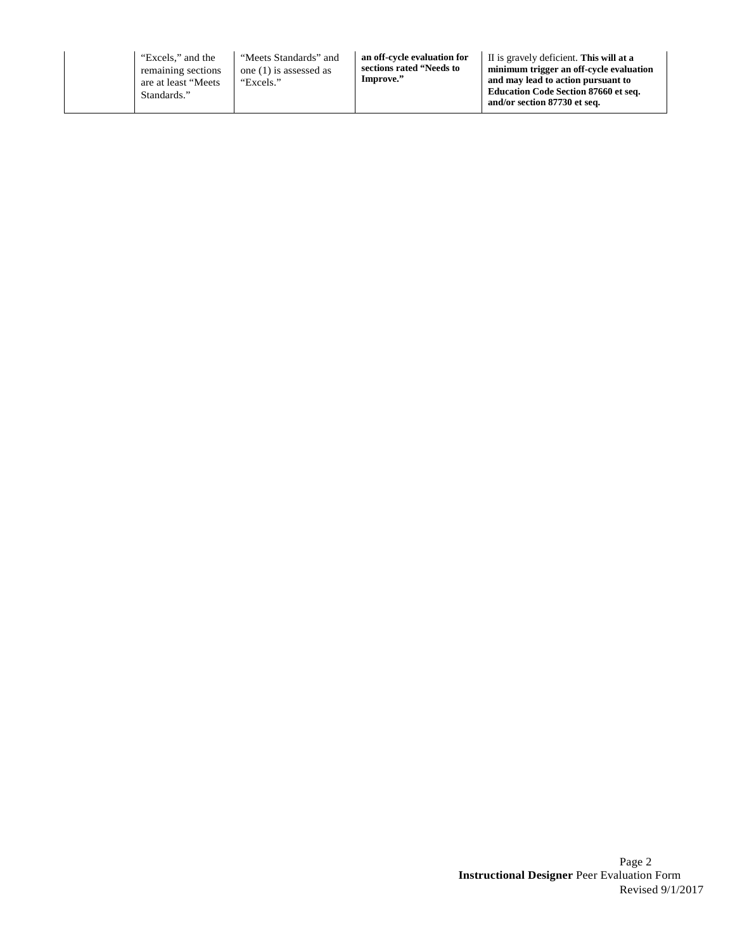"Excels," and the remaining sections are at least "Meets Standards."

"Meets Standards" and one (1) is assessed as "Excels."

**an off-cycle evaluation for sections rated "Needs to Improve."**

II is gravely deficient. **This will at a minimum trigger an off-cycle evaluation and may lead to action pursuant to Education Code Section 87660 et seq. and/or section 87730 et seq.**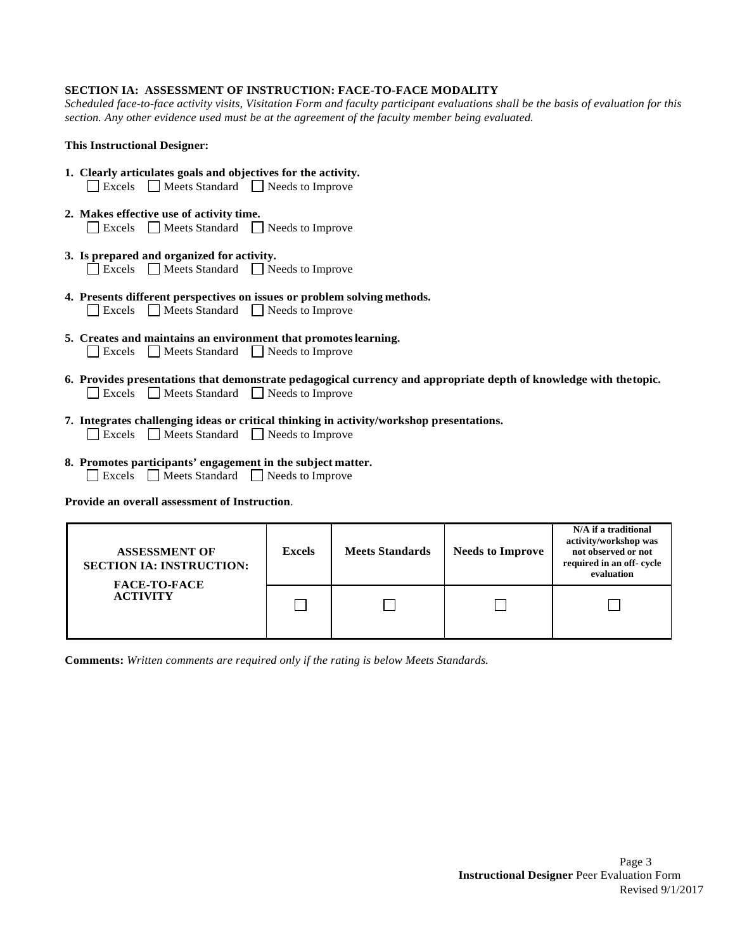# **SECTION IA: ASSESSMENT OF INSTRUCTION: FACE-TO-FACE MODALITY**

*Scheduled face-to-face activity visits, Visitation Form and faculty participant evaluations shall be the basis of evaluation for this section. Any other evidence used must be at the agreement of the faculty member being evaluated.*

# **This Instructional Designer:**

- **1. Clearly articulates goals and objectives for the activity.** Excels Meets Standard Needs to Improve
- **2. Makes effective use of activity time.** Excels Meets Standard Needs to Improve
- **3. Is prepared and organized for activity.** Excels Meets Standard Needs to Improve
- **4. Presents different perspectives on issues or problem solving methods.** Excels Meets Standard Needs to Improve
- **5. Creates and maintains an environment that promoteslearning.** Excels Meets Standard Needs to Improve
- **6. Provides presentations that demonstrate pedagogical currency and appropriate depth of knowledge with thetopic.** Excels Meets Standard Needs to Improve
- **7. Integrates challenging ideas or critical thinking in activity/workshop presentations.** Excels Meets Standard Needs to Improve
- **8. Promotes participants' engagement in the subject matter.** Excels Meets Standard Needs to Improve

**Provide an overall assessment of Instruction**.

| <b>ASSESSMENT OF</b><br><b>SECTION IA: INSTRUCTION:</b><br><b>FACE-TO-FACE</b> | Excels | <b>Meets Standards</b> | <b>Needs to Improve</b> | N/A if a traditional<br>activity/workshop was<br>not observed or not<br>required in an off-cycle<br>evaluation |
|--------------------------------------------------------------------------------|--------|------------------------|-------------------------|----------------------------------------------------------------------------------------------------------------|
| <b>ACTIVITY</b>                                                                |        |                        |                         |                                                                                                                |

**Comments:** *Written comments are required only if the rating is below Meets Standards.*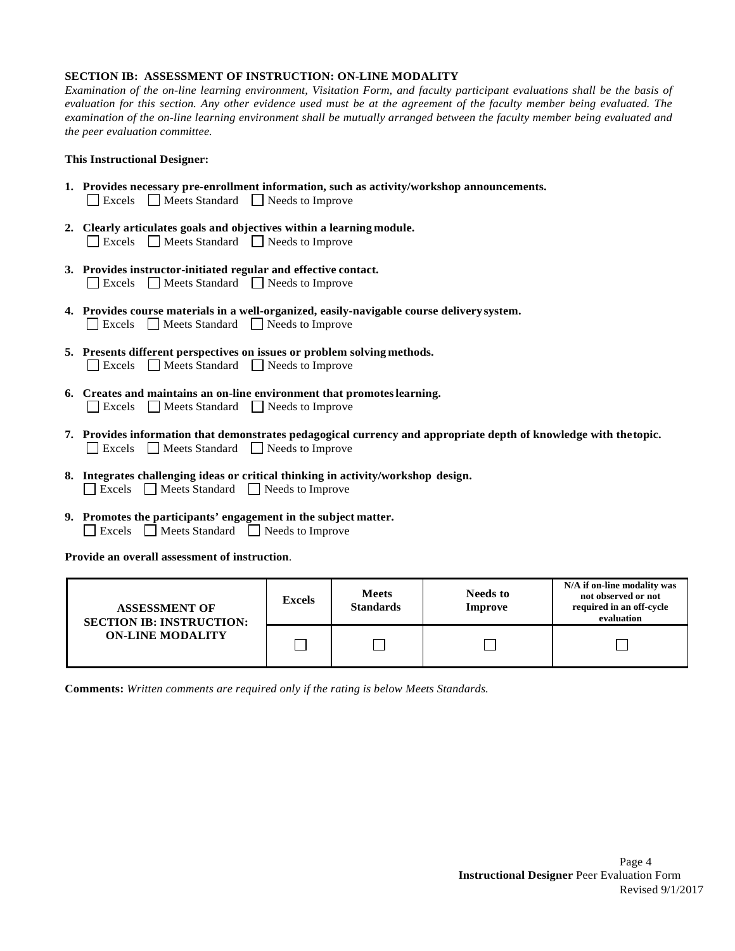### **SECTION IB: ASSESSMENT OF INSTRUCTION: ON-LINE MODALITY**

*Examination of the on-line learning environment, Visitation Form, and faculty participant evaluations shall be the basis of evaluation for this section. Any other evidence used must be at the agreement of the faculty member being evaluated. The examination of the on-line learning environment shall be mutually arranged between the faculty member being evaluated and the peer evaluation committee.*

## **This Instructional Designer:**

- **1. Provides necessary pre-enrollment information, such as activity/workshop announcements.** Excels Meets Standard Needs to Improve
- **2. Clearly articulates goals and objectives within a learning module.** Excels Meets Standard Needs to Improve
- **3. Provides instructor-initiated regular and effective contact.** Excels Meets Standard Needs to Improve
- **4. Provides course materials in a well-organized, easily-navigable course delivery system.** Excels Meets Standard Needs to Improve
- **5. Presents different perspectives on issues or problem solving methods.** Excels Meets Standard Reeds to Improve
- **6. Creates and maintains an on-line environment that promoteslearning.** Excels Meets Standard Needs to Improve
- **7. Provides information that demonstrates pedagogical currency and appropriate depth of knowledge with thetopic.** Excels Meets Standard Needs to Improve
- **8. Integrates challenging ideas or critical thinking in activity/workshop design.** Excels Meets Standard Needs to Improve
- **9. Promotes the participants' engagement in the subject matter.** Excels Meets Standard Needs to Improve

**Provide an overall assessment of instruction**.

| <b>ASSESSMENT OF</b><br><b>SECTION IB: INSTRUCTION:</b> | <b>Excels</b> | <b>Meets</b><br><b>Standards</b> | <b>Needs to</b><br>Improve | N/A if on-line modality was<br>not observed or not<br>required in an off-cycle<br>evaluation |
|---------------------------------------------------------|---------------|----------------------------------|----------------------------|----------------------------------------------------------------------------------------------|
| <b>ON-LINE MODALITY</b>                                 |               |                                  |                            |                                                                                              |

**Comments:** *Written comments are required only if the rating is below Meets Standards.*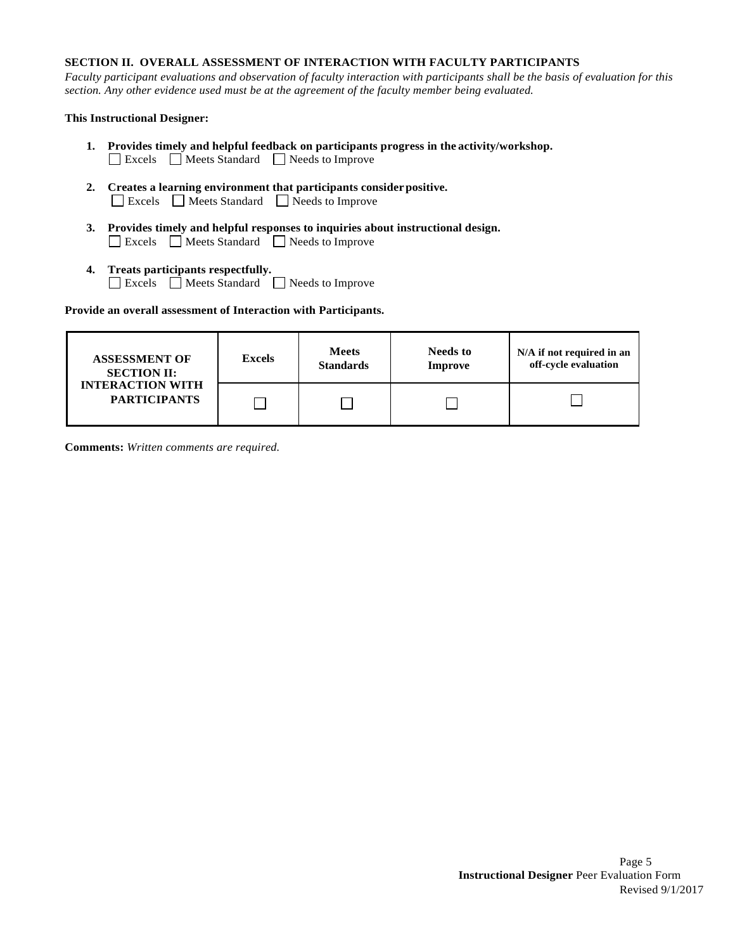# **SECTION II. OVERALL ASSESSMENT OF INTERACTION WITH FACULTY PARTICIPANTS**

*Faculty participant evaluations and observation of faculty interaction with participants shall be the basis of evaluation for this section. Any other evidence used must be at the agreement of the faculty member being evaluated.*

# **This Instructional Designer:**

- **1. Provides timely and helpful feedback on participants progress in the activity/workshop.** Excels Meets Standard Needs to Improve
- **2. Creates a learning environment that participants considerpositive.** Excels Meets Standard Needs to Improve
- **3. Provides timely and helpful responses to inquiries about instructional design.** Excels Meets Standard Needs to Improve
- **4. Treats participants respectfully.** Excels Meets Standard Needs to Improve

**Provide an overall assessment of Interaction with Participants.**

| <b>ASSESSMENT OF</b>                           | <b>Excels</b> | <b>Meets</b>     | <b>Needs to</b> | N/A if not required in an |
|------------------------------------------------|---------------|------------------|-----------------|---------------------------|
| <b>SECTION II:</b>                             |               | <b>Standards</b> | <b>Improve</b>  | off-cycle evaluation      |
| <b>INTERACTION WITH</b><br><b>PARTICIPANTS</b> |               |                  |                 |                           |

**Comments:** *Written comments are required.*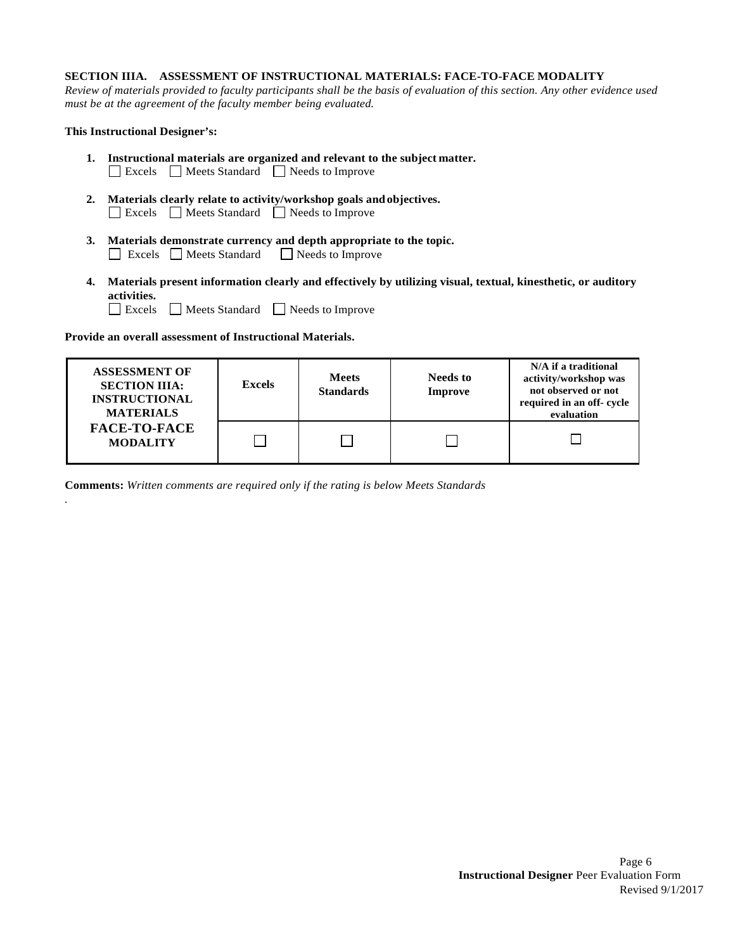### **SECTION IIIA. ASSESSMENT OF INSTRUCTIONAL MATERIALS: FACE-TO-FACE MODALITY**

*Review of materials provided to faculty participants shall be the basis of evaluation of this section. Any other evidence used must be at the agreement of the faculty member being evaluated.*

#### **This Instructional Designer's:**

*.*

- **1. Instructional materials are organized and relevant to the subject matter.** Excels Meets Standard Needs to Improve
- **2. Materials clearly relate to activity/workshop goals andobjectives.** Excels Meets Standard Needs to Improve
- **3. Materials demonstrate currency and depth appropriate to the topic.** Excels Meets Standard Needs to Improve
- **4. Materials present information clearly and effectively by utilizing visual, textual, kinesthetic, or auditory activities.**
	- Excels Meets Standard Needs to Improve

**Provide an overall assessment of Instructional Materials.**

| <b>ASSESSMENT OF</b><br><b>SECTION IIIA:</b><br><b>INSTRUCTIONAL</b><br><b>MATERIALS</b> | <b>Excels</b> | <b>Meets</b><br><b>Standards</b> | Needs to<br><b>Improve</b> | N/A if a traditional<br>activity/workshop was<br>not observed or not<br>required in an off-cycle<br>evaluation |
|------------------------------------------------------------------------------------------|---------------|----------------------------------|----------------------------|----------------------------------------------------------------------------------------------------------------|
| <b>FACE-TO-FACE</b><br><b>MODALITY</b>                                                   |               |                                  |                            |                                                                                                                |

**Comments:** *Written comments are required only if the rating is below Meets Standards*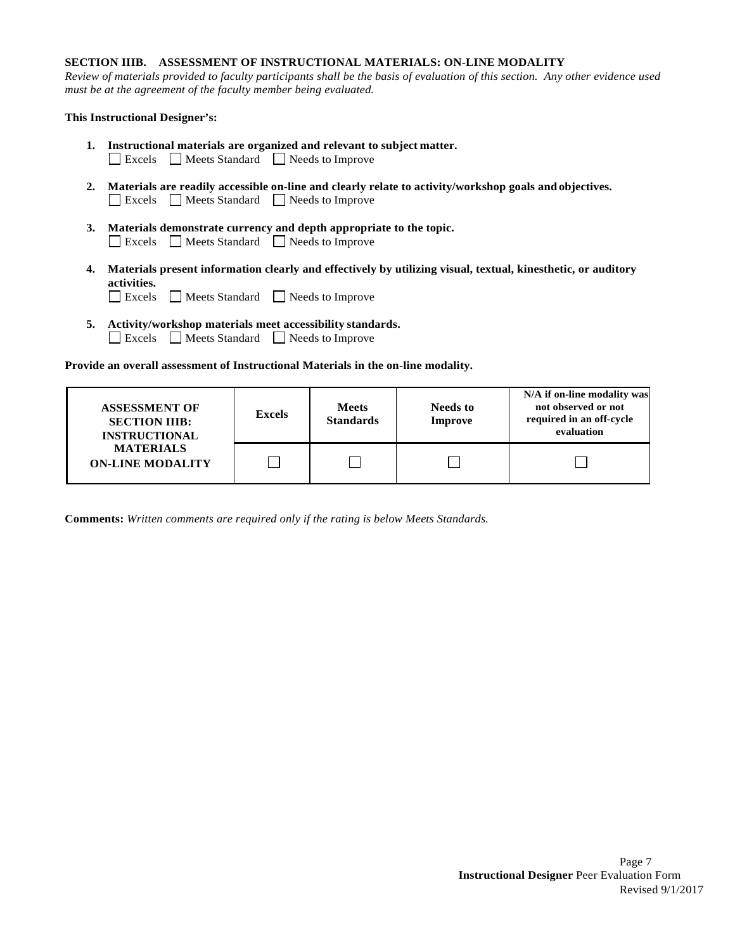# **SECTION IIIB. ASSESSMENT OF INSTRUCTIONAL MATERIALS: ON-LINE MODALITY**

*Review of materials provided to faculty participants shall be the basis of evaluation of this section. Any other evidence used must be at the agreement of the faculty member being evaluated.*

# **This Instructional Designer's:**

- **1. Instructional materials are organized and relevant to subject matter.** Excels Meets Standard Needs to Improve
- **2. Materials are readily accessible on-line and clearly relate to activity/workshop goals and objectives.** Excels Meets Standard Needs to Improve
- **3. Materials demonstrate currency and depth appropriate to the topic.** Excels Meets Standard Needs to Improve
- **4. Materials present information clearly and effectively by utilizing visual, textual, kinesthetic, or auditory activities.**
	- Excels Meets Standard Needs to Improve
- **5. Activity/workshop materials meet accessibility standards.** Excels Meets Standard Needs to Improve

**Provide an overall assessment of Instructional Materials in the on-line modality.**

| <b>ASSESSMENT OF</b><br><b>SECTION IIIB:</b><br><b>INSTRUCTIONAL</b><br><b>MATERIALS</b><br><b>ON-LINE MODALITY</b> | <b>Excels</b> | <b>Meets</b><br><b>Standards</b> | <b>Needs to</b><br><b>Improve</b> | N/A if on-line modality was<br>not observed or not<br>required in an off-cycle<br>evaluation |
|---------------------------------------------------------------------------------------------------------------------|---------------|----------------------------------|-----------------------------------|----------------------------------------------------------------------------------------------|
|                                                                                                                     |               |                                  |                                   |                                                                                              |

**Comments:** *Written comments are required only if the rating is below Meets Standards.*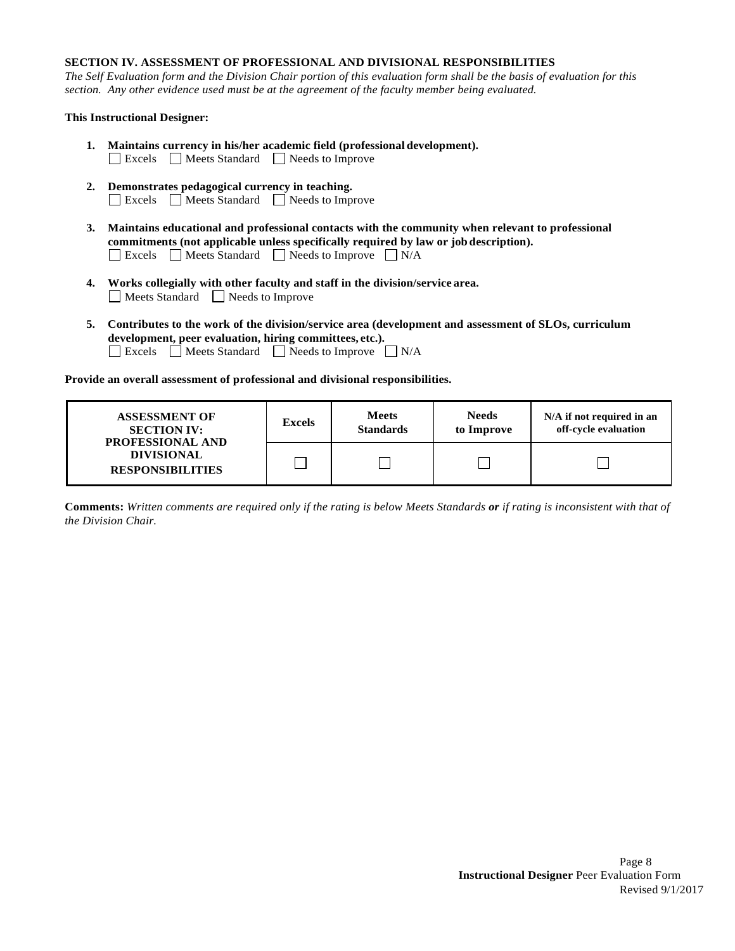# **SECTION IV. ASSESSMENT OF PROFESSIONAL AND DIVISIONAL RESPONSIBILITIES**

*The Self Evaluation form and the Division Chair portion of this evaluation form shall be the basis of evaluation for this section. Any other evidence used must be at the agreement of the faculty member being evaluated.*

# **This Instructional Designer:**

- **1. Maintains currency in his/her academic field (professional development).** Excels Meets Standard Needs to Improve
- **2. Demonstrates pedagogical currency in teaching.** Excels Meets Standard Needs to Improve
- **3. Maintains educational and professional contacts with the community when relevant to professional commitments (not applicable unless specifically required by law or job description).** Excels  $\Box$  Meets Standard  $\Box$  Needs to Improve  $\Box$  N/A
- **4. Works collegially with other faculty and staff in the division/service area.** Meets Standard Needs to Improve
- **5. Contributes to the work of the division/service area (development and assessment of SLOs, curriculum development, peer evaluation, hiring committees, etc.).** Excels Meets Standard Needs to Improve  $\Box$  N/A

**Provide an overall assessment of professional and divisional responsibilities.**

| <b>ASSESSMENT OF</b><br><b>SECTION IV:</b><br><b>PROFESSIONAL AND</b> | <b>Excels</b> | <b>Meets</b><br><b>Standards</b> | <b>Needs</b><br>to Improve | N/A if not required in an<br>off-cycle evaluation |
|-----------------------------------------------------------------------|---------------|----------------------------------|----------------------------|---------------------------------------------------|
| <b>DIVISIONAL</b><br><b>RESPONSIBILITIES</b>                          |               |                                  |                            |                                                   |

**Comments:** *Written comments are required only if the rating is below Meets Standards or if rating is inconsistent with that of the Division Chair.*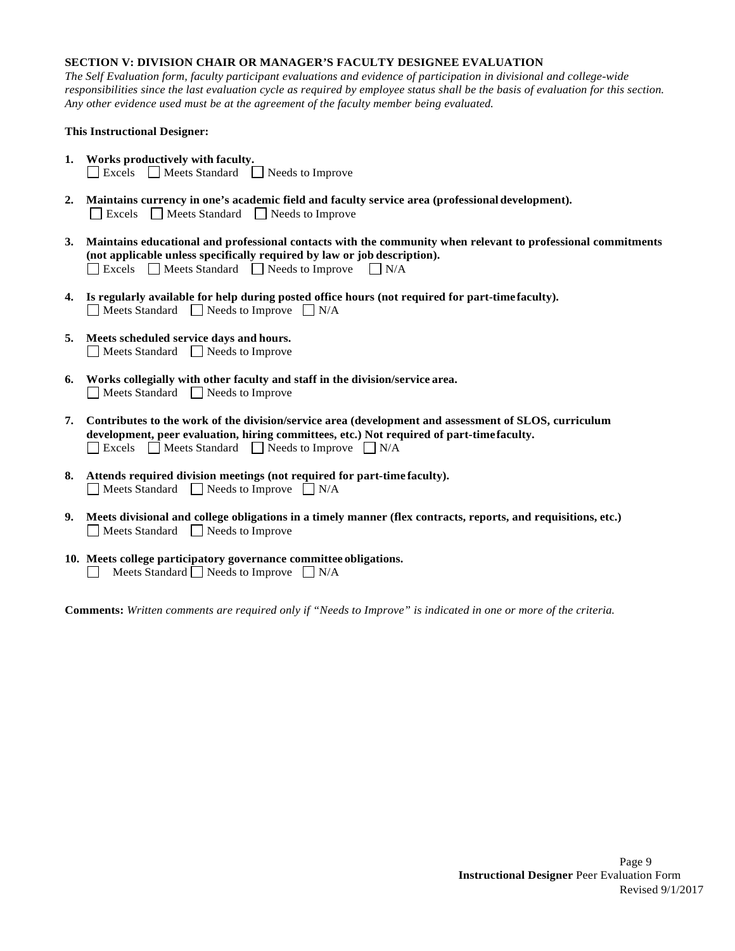# **SECTION V: DIVISION CHAIR OR MANAGER'S FACULTY DESIGNEE EVALUATION**

*The Self Evaluation form, faculty participant evaluations and evidence of participation in divisional and college-wide responsibilities since the last evaluation cycle as required by employee status shall be the basis of evaluation for this section. Any other evidence used must be at the agreement of the faculty member being evaluated.*

## **This Instructional Designer:**

- **1. Works productively with faculty.** Excels Meets Standard Needs to Improve
- **2. Maintains currency in one's academic field and faculty service area (professional development).** Excels Meets Standard Needs to Improve
- **3. Maintains educational and professional contacts with the community when relevant to professional commitments (not applicable unless specifically required by law or job description).** Excels  $\Box$  Meets Standard  $\Box$  Needs to Improve  $\Box$  N/A
- **4. Is regularly available for help during posted office hours (not required for part-time faculty).**  $\Box$  Meets Standard  $\Box$  Needs to Improve  $\Box$  N/A
- **5. Meets scheduled service days and hours.** Meets Standard Needs to Improve
- **6. Works collegially with other faculty and staff in the division/service area.** Meets Standard Needs to Improve
- **7. Contributes to the work of the division/service area (development and assessment of SLOS, curriculum development, peer evaluation, hiring committees, etc.) Not required of part-timefaculty.** Excels  $\Box$  Meets Standard  $\Box$  Needs to Improve  $\Box$  N/A
- **8. Attends required division meetings (not required for part-time faculty).**  $\Box$  Meets Standard  $\Box$  Needs to Improve  $\Box$  N/A
- **9. Meets divisional and college obligations in a timely manner (flex contracts, reports, and requisitions, etc.)** Meets Standard Needs to Improve
- **10. Meets college participatory governance committee obligations.** Meets Standard  $\Box$  Needs to Improve  $\Box$  N/A

**Comments:** *Written comments are required only if "Needs to Improve" is indicated in one or more of the criteria.*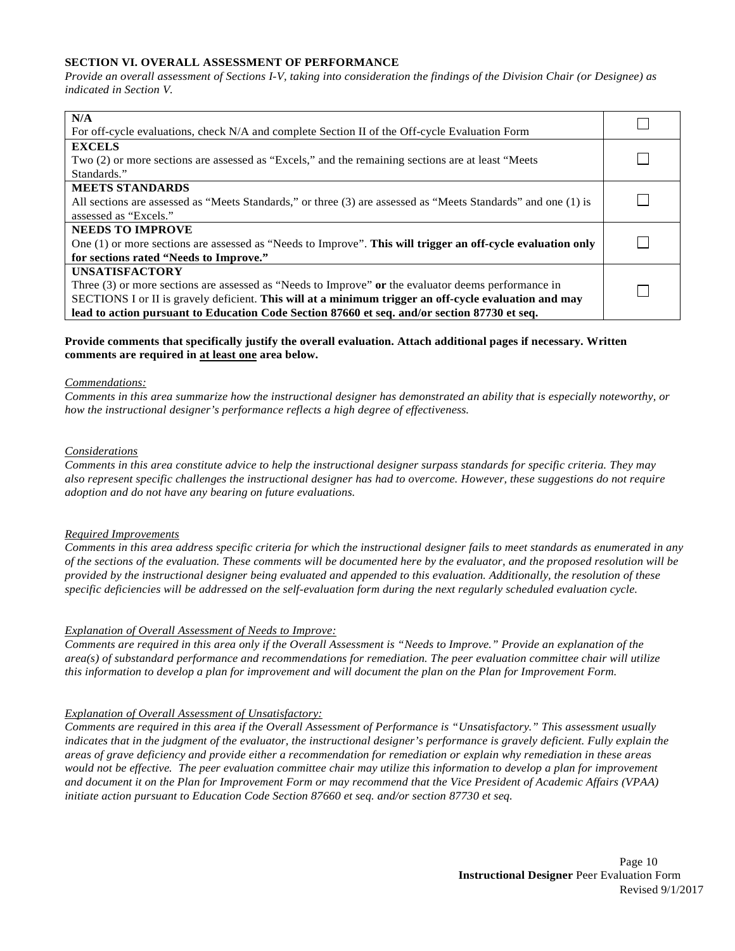# **SECTION VI. OVERALL ASSESSMENT OF PERFORMANCE**

*Provide an overall assessment of Sections I-V, taking into consideration the findings of the Division Chair (or Designee) as indicated in Section V.*

| N/A                                                                                                           |  |
|---------------------------------------------------------------------------------------------------------------|--|
| For off-cycle evaluations, check N/A and complete Section II of the Off-cycle Evaluation Form                 |  |
| <b>EXCELS</b>                                                                                                 |  |
| Two (2) or more sections are assessed as "Excels," and the remaining sections are at least "Meets"            |  |
| Standards."                                                                                                   |  |
| <b>MEETS STANDARDS</b>                                                                                        |  |
| All sections are assessed as "Meets Standards," or three (3) are assessed as "Meets Standards" and one (1) is |  |
| assessed as "Excels."                                                                                         |  |
| <b>NEEDS TO IMPROVE</b>                                                                                       |  |
| One (1) or more sections are assessed as "Needs to Improve". This will trigger an off-cycle evaluation only   |  |
| for sections rated "Needs to Improve."                                                                        |  |
| <b>UNSATISFACTORY</b>                                                                                         |  |
| Three $(3)$ or more sections are assessed as "Needs to Improve" or the evaluator deems performance in         |  |
| SECTIONS I or II is gravely deficient. This will at a minimum trigger an off-cycle evaluation and may         |  |
| lead to action pursuant to Education Code Section 87660 et seq. and/or section 87730 et seq.                  |  |

## **Provide comments that specifically justify the overall evaluation. Attach additional pages if necessary. Written comments are required in at least one area below.**

#### *Commendations:*

*Comments in this area summarize how the instructional designer has demonstrated an ability that is especially noteworthy, or how the instructional designer's performance reflects a high degree of effectiveness.*

#### *Considerations*

*Comments in this area constitute advice to help the instructional designer surpass standards for specific criteria. They may also represent specific challenges the instructional designer has had to overcome. However, these suggestions do not require adoption and do not have any bearing on future evaluations.*

#### *Required Improvements*

*Comments in this area address specific criteria for which the instructional designer fails to meet standards as enumerated in any of the sections of the evaluation. These comments will be documented here by the evaluator, and the proposed resolution will be provided by the instructional designer being evaluated and appended to this evaluation. Additionally, the resolution of these specific deficiencies will be addressed on the self-evaluation form during the next regularly scheduled evaluation cycle.*

#### *Explanation of Overall Assessment of Needs to Improve:*

*Comments are required in this area only if the Overall Assessment is "Needs to Improve." Provide an explanation of the area(s) of substandard performance and recommendations for remediation. The peer evaluation committee chair will utilize this information to develop a plan for improvement and will document the plan on the Plan for Improvement Form.*

#### *Explanation of Overall Assessment of Unsatisfactory:*

*Comments are required in this area if the Overall Assessment of Performance is "Unsatisfactory." This assessment usually indicates that in the judgment of the evaluator, the instructional designer's performance is gravely deficient. Fully explain the areas of grave deficiency and provide either a recommendation for remediation or explain why remediation in these areas would not be effective. The peer evaluation committee chair may utilize this information to develop a plan for improvement and document it on the Plan for Improvement Form or may recommend that the Vice President of Academic Affairs (VPAA) initiate action pursuant to Education Code Section 87660 et seq. and/or section 87730 et seq.*